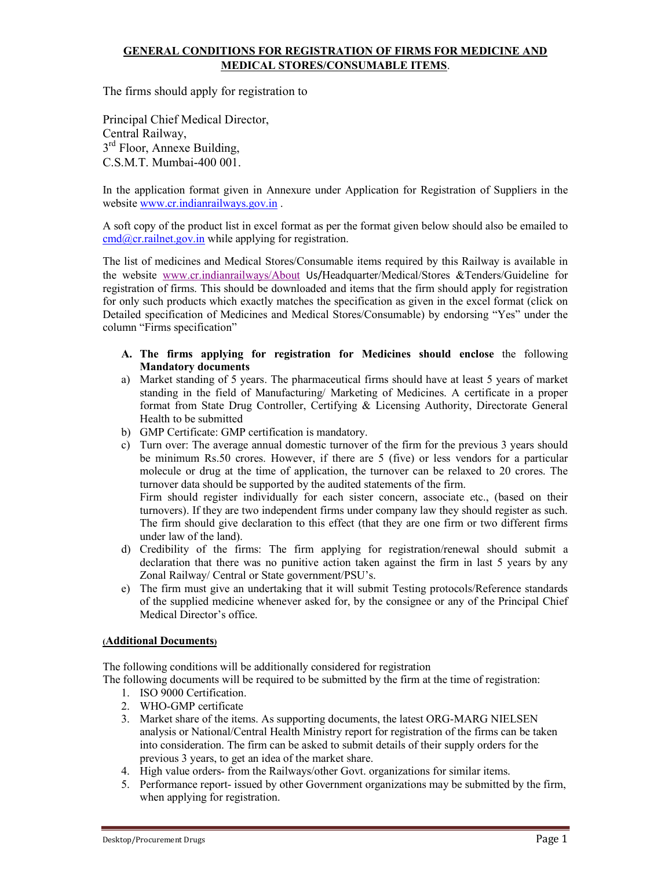## GENERAL CONDITIONS FOR REGISTRATION OF FIRMS FOR MEDICINE AND MEDICAL STORES/CONSUMABLE ITEMS.

The firms should apply for registration to

Principal Chief Medical Director, Central Railway, 3<sup>rd</sup> Floor, Annexe Building, C.S.M.T. Mumbai-400 001.

In the application format given in Annexure under Application for Registration of Suppliers in the website www.cr.indianrailways.gov.in.

A soft copy of the product list in excel format as per the format given below should also be emailed to  $cmd@cr.railnet.gov.in$  while applying for registration.

The list of medicines and Medical Stores/Consumable items required by this Railway is available in the website www.cr.indianrailways/About Us/Headquarter/Medical/Stores &Tenders/Guideline for registration of firms. This should be downloaded and items that the firm should apply for registration for only such products which exactly matches the specification as given in the excel format (click on Detailed specification of Medicines and Medical Stores/Consumable) by endorsing "Yes" under the column "Firms specification"

- A. The firms applying for registration for Medicines should enclose the following Mandatory documents
- a) Market standing of 5 years. The pharmaceutical firms should have at least 5 years of market standing in the field of Manufacturing/ Marketing of Medicines. A certificate in a proper format from State Drug Controller, Certifying & Licensing Authority, Directorate General Health to be submitted
- b) GMP Certificate: GMP certification is mandatory.
- c) Turn over: The average annual domestic turnover of the firm for the previous 3 years should be minimum Rs.50 crores. However, if there are 5 (five) or less vendors for a particular molecule or drug at the time of application, the turnover can be relaxed to 20 crores. The turnover data should be supported by the audited statements of the firm.

Firm should register individually for each sister concern, associate etc., (based on their turnovers). If they are two independent firms under company law they should register as such. The firm should give declaration to this effect (that they are one firm or two different firms under law of the land).

- d) Credibility of the firms: The firm applying for registration/renewal should submit a declaration that there was no punitive action taken against the firm in last 5 years by any Zonal Railway/ Central or State government/PSU's.
- e) The firm must give an undertaking that it will submit Testing protocols/Reference standards of the supplied medicine whenever asked for, by the consignee or any of the Principal Chief Medical Director's office.

## (Additional Documents)

The following conditions will be additionally considered for registration

The following documents will be required to be submitted by the firm at the time of registration:

- 1. ISO 9000 Certification.
- 2. WHO-GMP certificate
- 3. Market share of the items. As supporting documents, the latest ORG-MARG NIELSEN analysis or National/Central Health Ministry report for registration of the firms can be taken into consideration. The firm can be asked to submit details of their supply orders for the previous 3 years, to get an idea of the market share.
- 4. High value orders- from the Railways/other Govt. organizations for similar items.
- 5. Performance report- issued by other Government organizations may be submitted by the firm, when applying for registration.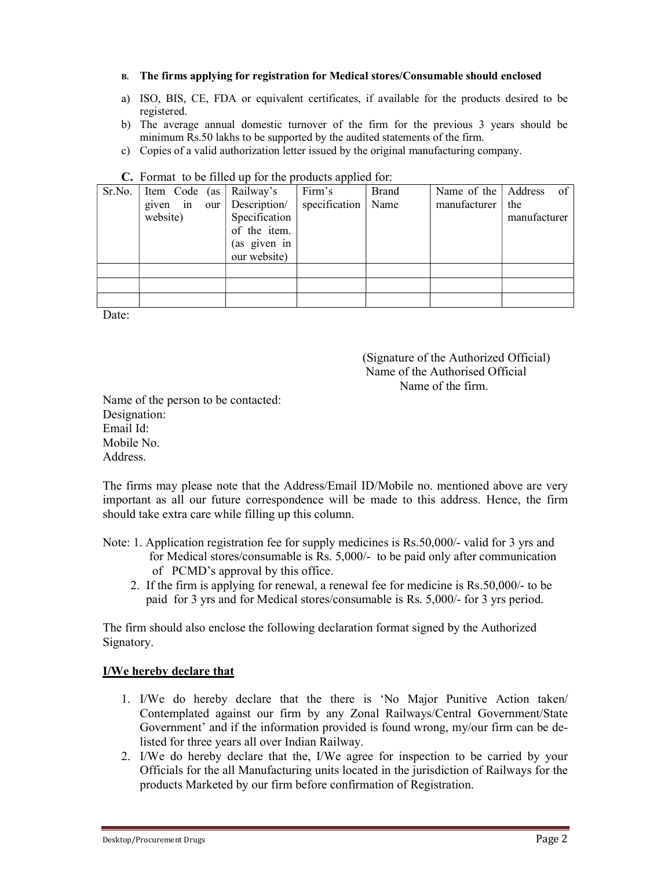- B. The firms applying for registration for Medical stores/Consumable should enclosed
- a) ISO, BIS, CE, FDA or equivalent certificates, if available for the products desired to be registered.
- b) The average annual domestic turnover of the firm for the previous 3 years should be minimum Rs.50 lakhs to be supported by the audited statements of the firm.
- c) Copies of a valid authorization letter issued by the original manufacturing company.

| $\mathbf{C}$ . I difficult to be fined up for the products applied for. |                                      |                                               |               |              |              |                        |
|-------------------------------------------------------------------------|--------------------------------------|-----------------------------------------------|---------------|--------------|--------------|------------------------|
|                                                                         | $Sr.No.$ Item Code (as Railway's     |                                               | Firm's        | <b>Brand</b> |              | Name of the Address of |
|                                                                         | given in our Description<br>website) | Specification<br>of the item.<br>(as given in | specification | Name         | manufacturer | the<br>manufacturer    |
|                                                                         |                                      | our website)                                  |               |              |              |                        |
|                                                                         |                                      |                                               |               |              |              |                        |
|                                                                         |                                      |                                               |               |              |              |                        |
|                                                                         |                                      |                                               |               |              |              |                        |

## C. Format to be filled up for the products applied for:

Date:

 (Signature of the Authorized Official) Name of the Authorised Official Name of the firm.

Name of the person to be contacted: Designation: Email Id: Mobile No. Address.

The firms may please note that the Address/Email ID/Mobile no. mentioned above are very important as all our future correspondence will be made to this address. Hence, the firm should take extra care while filling up this column.

Note: 1. Application registration fee for supply medicines is Rs.50,000/- valid for 3 yrs and for Medical stores/consumable is Rs. 5,000/- to be paid only after communication of PCMD's approval by this office.

 2. If the firm is applying for renewal, a renewal fee for medicine is Rs.50,000/- to be paid for 3 yrs and for Medical stores/consumable is Rs. 5,000/- for 3 yrs period.

The firm should also enclose the following declaration format signed by the Authorized Signatory.

## I/We hereby declare that

- 1. I/We do hereby declare that the there is 'No Major Punitive Action taken/ Contemplated against our firm by any Zonal Railways/Central Government/State Government' and if the information provided is found wrong, my/our firm can be delisted for three years all over Indian Railway.
- 2. I/We do hereby declare that the, I/We agree for inspection to be carried by your Officials for the all Manufacturing units located in the jurisdiction of Railways for the products Marketed by our firm before confirmation of Registration.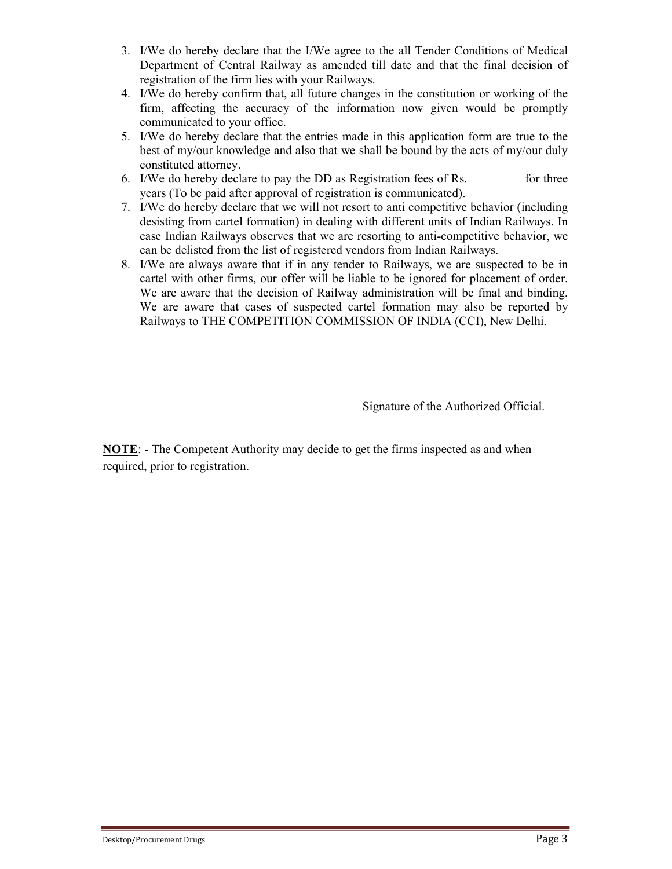- 3. I/We do hereby declare that the I/We agree to the all Tender Conditions of Medical Department of Central Railway as amended till date and that the final decision of registration of the firm lies with your Railways.
- 4. I/We do hereby confirm that, all future changes in the constitution or working of the firm, affecting the accuracy of the information now given would be promptly communicated to your office.
- 5. I/We do hereby declare that the entries made in this application form are true to the best of my/our knowledge and also that we shall be bound by the acts of my/our duly constituted attorney.
- 6. I/We do hereby declare to pay the DD as Registration fees of Rs. for three years (To be paid after approval of registration is communicated).
- 7. I/We do hereby declare that we will not resort to anti competitive behavior (including desisting from cartel formation) in dealing with different units of Indian Railways. In case Indian Railways observes that we are resorting to anti-competitive behavior, we can be delisted from the list of registered vendors from Indian Railways.
- 8. I/We are always aware that if in any tender to Railways, we are suspected to be in cartel with other firms, our offer will be liable to be ignored for placement of order. We are aware that the decision of Railway administration will be final and binding. We are aware that cases of suspected cartel formation may also be reported by Railways to THE COMPETITION COMMISSION OF INDIA (CCI), New Delhi.

Signature of the Authorized Official.

NOTE: - The Competent Authority may decide to get the firms inspected as and when required, prior to registration.